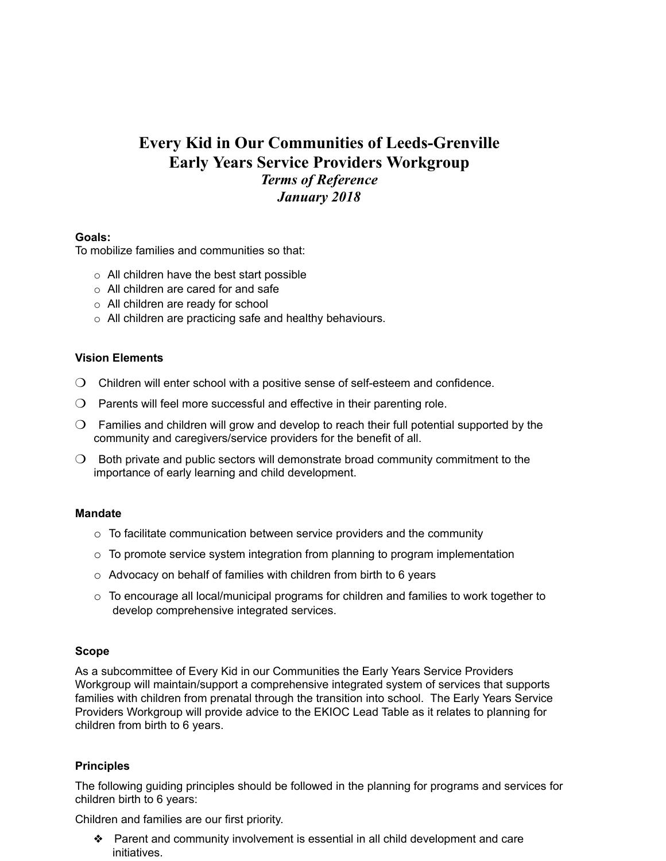# **Every Kid in Our Communities of Leeds-Grenville Early Years Service Providers Workgroup** *Terms of Reference January 2018*

## **Goals:**

To mobilize families and communities so that:

- $\circ$  All children have the best start possible
- o All children are cared for and safe
- o All children are ready for school
- o All children are practicing safe and healthy behaviours.

#### **Vision Elements**

- ❍ Children will enter school with a positive sense of self-esteem and confidence.
- $\bigcirc$  Parents will feel more successful and effective in their parenting role.
- $\bigcirc$  Families and children will grow and develop to reach their full potential supported by the community and caregivers/service providers for the benefit of all.
- $\bigcirc$  Both private and public sectors will demonstrate broad community commitment to the importance of early learning and child development.

#### **Mandate**

- $\circ$  To facilitate communication between service providers and the community
- $\circ$  To promote service system integration from planning to program implementation
- o Advocacy on behalf of families with children from birth to 6 years
- $\circ$  To encourage all local/municipal programs for children and families to work together to develop comprehensive integrated services.

#### **Scope**

As a subcommittee of Every Kid in our Communities the Early Years Service Providers Workgroup will maintain/support a comprehensive integrated system of services that supports families with children from prenatal through the transition into school. The Early Years Service Providers Workgroup will provide advice to the EKIOC Lead Table as it relates to planning for children from birth to 6 years.

## **Principles**

The following guiding principles should be followed in the planning for programs and services for children birth to 6 years:

Children and families are our first priority.

❖ Parent and community involvement is essential in all child development and care initiatives.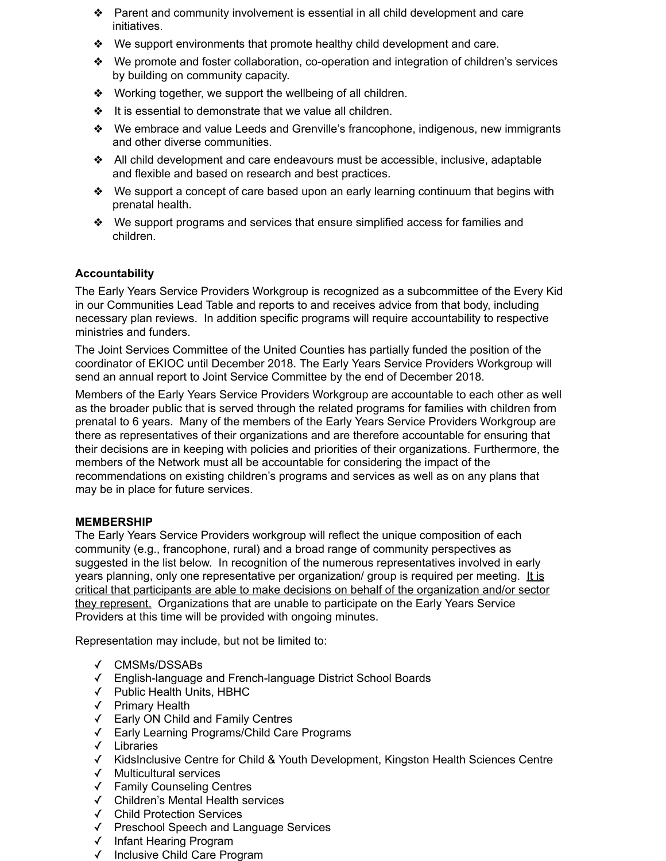- ❖ Parent and community involvement is essential in all child development and care initiatives.
- ❖ We support environments that promote healthy child development and care.
- ❖ We promote and foster collaboration, co-operation and integration of children's services by building on community capacity.
- ❖ Working together, we support the wellbeing of all children.
- $\cdot \cdot$  It is essential to demonstrate that we value all children.
- ❖ We embrace and value Leeds and Grenville's francophone, indigenous, new immigrants and other diverse communities.
- ❖ All child development and care endeavours must be accessible, inclusive, adaptable and flexible and based on research and best practices.
- ❖ We support a concept of care based upon an early learning continuum that begins with prenatal health.
- ❖ We support programs and services that ensure simplified access for families and children.

## **Accountability**

The Early Years Service Providers Workgroup is recognized as a subcommittee of the Every Kid in our Communities Lead Table and reports to and receives advice from that body, including necessary plan reviews. In addition specific programs will require accountability to respective ministries and funders.

The Joint Services Committee of the United Counties has partially funded the position of the coordinator of EKIOC until December 2018. The Early Years Service Providers Workgroup will send an annual report to Joint Service Committee by the end of December 2018.

Members of the Early Years Service Providers Workgroup are accountable to each other as well as the broader public that is served through the related programs for families with children from prenatal to 6 years. Many of the members of the Early Years Service Providers Workgroup are there as representatives of their organizations and are therefore accountable for ensuring that their decisions are in keeping with policies and priorities of their organizations. Furthermore, the members of the Network must all be accountable for considering the impact of the recommendations on existing children's programs and services as well as on any plans that may be in place for future services.

## **MEMBERSHIP**

The Early Years Service Providers workgroup will reflect the unique composition of each community (e.g., francophone, rural) and a broad range of community perspectives as suggested in the list below. In recognition of the numerous representatives involved in early years planning, only one representative per organization/ group is required per meeting. It is critical that participants are able to make decisions on behalf of the organization and/or sector they represent. Organizations that are unable to participate on the Early Years Service Providers at this time will be provided with ongoing minutes.

Representation may include, but not be limited to:

- ✓ CMSMs/DSSABs
- ✓ English-language and French-language District School Boards
- ✓ Public Health Units, HBHC
- ✓ Primary Health
- ✓ Early ON Child and Family Centres
- ✓ Early Learning Programs/Child Care Programs
- ✓ Libraries
- ✓ KidsInclusive Centre for Child & Youth Development, Kingston Health Sciences Centre
- ✓ Multicultural services
- ✓ Family Counseling Centres
- ✓ Children's Mental Health services
- ✓ Child Protection Services
- ✓ Preschool Speech and Language Services
- ✓ Infant Hearing Program
- ✓ Inclusive Child Care Program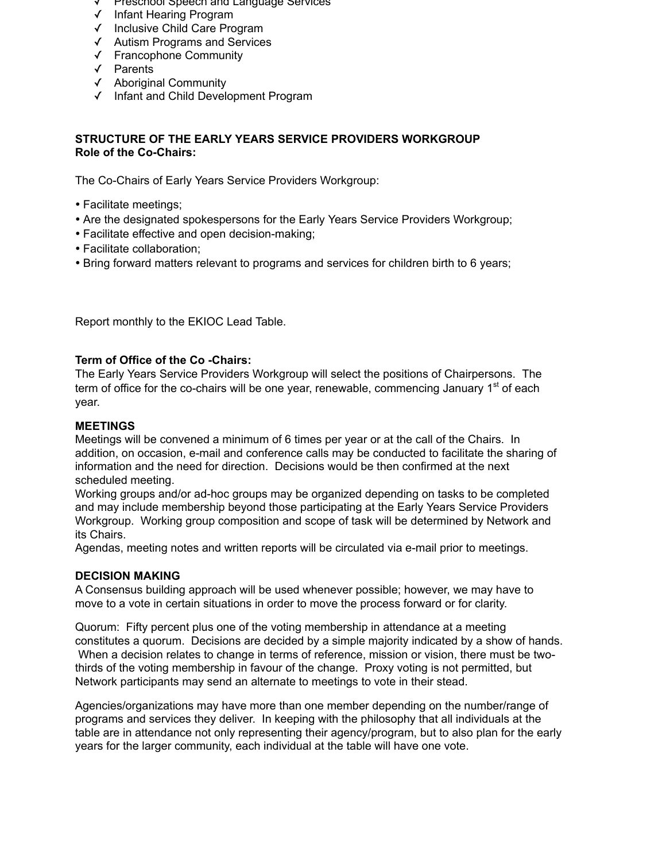- ✓ Preschool Speech and Language Services
- ✓ Infant Hearing Program
- ✓ Inclusive Child Care Program
- ✓ Autism Programs and Services
- ✓ Francophone Community
- ✓ Parents
- ✓ Aboriginal Community
- ✓ Infant and Child Development Program

# **STRUCTURE OF THE EARLY YEARS SERVICE PROVIDERS WORKGROUP Role of the Co-Chairs:**

The Co-Chairs of Early Years Service Providers Workgroup:

- Facilitate meetings;
- Are the designated spokespersons for the Early Years Service Providers Workgroup;
- Facilitate effective and open decision-making;
- Facilitate collaboration;
- Bring forward matters relevant to programs and services for children birth to 6 years;

Report monthly to the EKIOC Lead Table.

## **Term of Office of the Co -Chairs:**

The Early Years Service Providers Workgroup will select the positions of Chairpersons. The term of office for the co-chairs will be one year, renewable, commencing January 1<sup>st</sup> of each year.

## **MEETINGS**

Meetings will be convened a minimum of 6 times per year or at the call of the Chairs. In addition, on occasion, e-mail and conference calls may be conducted to facilitate the sharing of information and the need for direction. Decisions would be then confirmed at the next scheduled meeting.

Working groups and/or ad-hoc groups may be organized depending on tasks to be completed and may include membership beyond those participating at the Early Years Service Providers Workgroup. Working group composition and scope of task will be determined by Network and its Chairs.

Agendas, meeting notes and written reports will be circulated via e-mail prior to meetings.

## **DECISION MAKING**

A Consensus building approach will be used whenever possible; however, we may have to move to a vote in certain situations in order to move the process forward or for clarity.

Quorum: Fifty percent plus one of the voting membership in attendance at a meeting constitutes a quorum. Decisions are decided by a simple majority indicated by a show of hands. When a decision relates to change in terms of reference, mission or vision, there must be twothirds of the voting membership in favour of the change. Proxy voting is not permitted, but Network participants may send an alternate to meetings to vote in their stead.

Agencies/organizations may have more than one member depending on the number/range of programs and services they deliver. In keeping with the philosophy that all individuals at the table are in attendance not only representing their agency/program, but to also plan for the early years for the larger community, each individual at the table will have one vote.